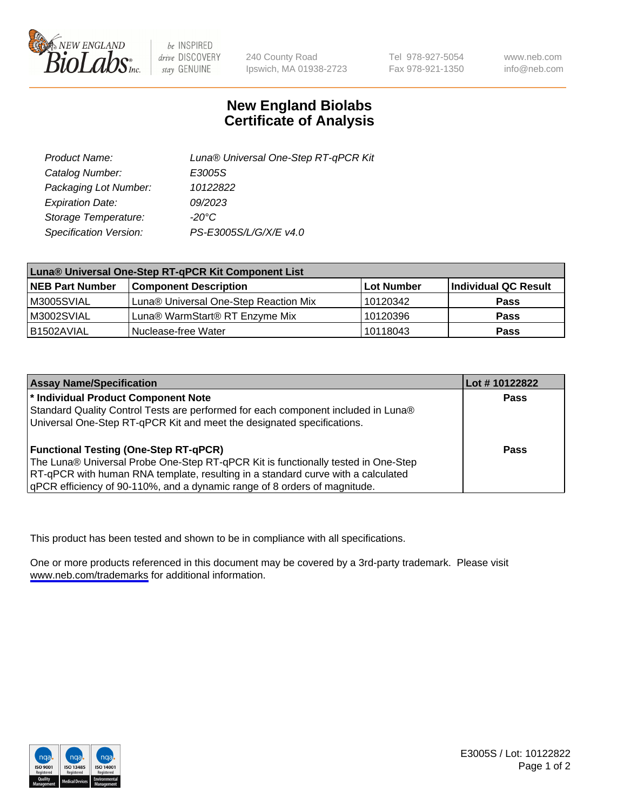

be INSPIRED drive DISCOVERY stay GENUINE

240 County Road Ipswich, MA 01938-2723 Tel 978-927-5054 Fax 978-921-1350

www.neb.com info@neb.com

## **New England Biolabs Certificate of Analysis**

| Product Name:           | Luna® Universal One-Step RT-qPCR Kit |
|-------------------------|--------------------------------------|
| Catalog Number:         | E3005S                               |
| Packaging Lot Number:   | 10122822                             |
| <b>Expiration Date:</b> | 09/2023                              |
| Storage Temperature:    | $-20^{\circ}$ C                      |
| Specification Version:  | PS-E3005S/L/G/X/E v4.0               |

| Luna® Universal One-Step RT-qPCR Kit Component List |                                       |            |                      |  |
|-----------------------------------------------------|---------------------------------------|------------|----------------------|--|
| <b>NEB Part Number</b>                              | <b>Component Description</b>          | Lot Number | Individual QC Result |  |
| M3005SVIAL                                          | Luna® Universal One-Step Reaction Mix | 10120342   | Pass                 |  |
| M3002SVIAL                                          | Luna® WarmStart® RT Enzyme Mix        | 10120396   | <b>Pass</b>          |  |
| B1502AVIAL                                          | Nuclease-free Water                   | 10118043   | <b>Pass</b>          |  |

| <b>Assay Name/Specification</b>                                                   | Lot # 10122822 |
|-----------------------------------------------------------------------------------|----------------|
| * Individual Product Component Note                                               | Pass           |
| Standard Quality Control Tests are performed for each component included in Luna® |                |
| Universal One-Step RT-qPCR Kit and meet the designated specifications.            |                |
|                                                                                   |                |
| <b>Functional Testing (One-Step RT-qPCR)</b>                                      | Pass           |
| The Luna® Universal Probe One-Step RT-qPCR Kit is functionally tested in One-Step |                |
| RT-qPCR with human RNA template, resulting in a standard curve with a calculated  |                |
| qPCR efficiency of 90-110%, and a dynamic range of 8 orders of magnitude.         |                |

This product has been tested and shown to be in compliance with all specifications.

One or more products referenced in this document may be covered by a 3rd-party trademark. Please visit <www.neb.com/trademarks>for additional information.